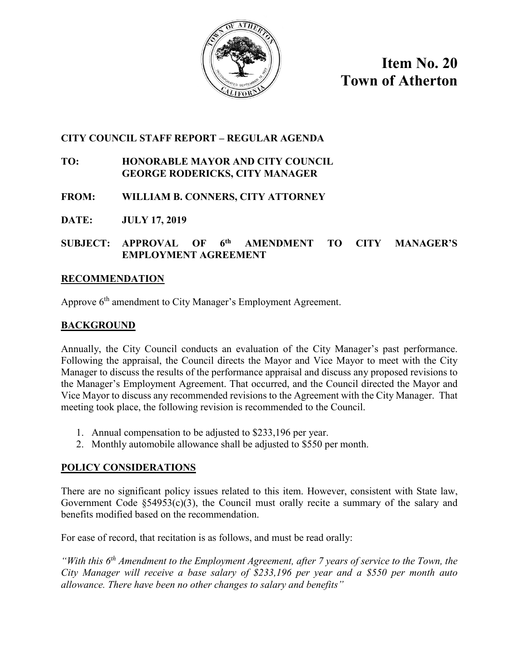

**Item No. 20 Town of Atherton**

# **CITY COUNCIL STAFF REPORT – REGULAR AGENDA**

## **TO: HONORABLE MAYOR AND CITY COUNCIL GEORGE RODERICKS, CITY MANAGER**

- **FROM: WILLIAM B. CONNERS, CITY ATTORNEY**
- **DATE: JULY 17, 2019**

## **SUBJECT: APPROVAL OF 6th AMENDMENT TO CITY MANAGER'S EMPLOYMENT AGREEMENT**

### **RECOMMENDATION**

Approve 6<sup>th</sup> amendment to City Manager's Employment Agreement.

## **BACKGROUND**

Annually, the City Council conducts an evaluation of the City Manager's past performance. Following the appraisal, the Council directs the Mayor and Vice Mayor to meet with the City Manager to discuss the results of the performance appraisal and discuss any proposed revisions to the Manager's Employment Agreement. That occurred, and the Council directed the Mayor and Vice Mayor to discuss any recommended revisions to the Agreement with the City Manager. That meeting took place, the following revision is recommended to the Council.

- 1. Annual compensation to be adjusted to \$233,196 per year.
- 2. Monthly automobile allowance shall be adjusted to \$550 per month.

## **POLICY CONSIDERATIONS**

There are no significant policy issues related to this item. However, consistent with State law, Government Code  $\S$ 54953(c)(3), the Council must orally recite a summary of the salary and benefits modified based on the recommendation.

For ease of record, that recitation is as follows, and must be read orally:

*"With this 6th Amendment to the Employment Agreement, after 7 years of service to the Town, the City Manager will receive a base salary of \$233,196 per year and a \$550 per month auto allowance. There have been no other changes to salary and benefits"*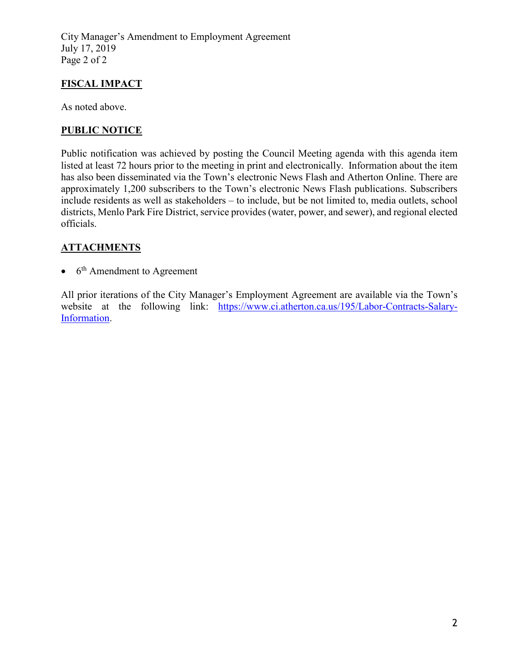City Manager's Amendment to Employment Agreement July 17, 2019 Page 2 of 2

# **FISCAL IMPACT**

As noted above.

# **PUBLIC NOTICE**

Public notification was achieved by posting the Council Meeting agenda with this agenda item listed at least 72 hours prior to the meeting in print and electronically. Information about the item has also been disseminated via the Town's electronic News Flash and Atherton Online. There are approximately 1,200 subscribers to the Town's electronic News Flash publications. Subscribers include residents as well as stakeholders – to include, but be not limited to, media outlets, school districts, Menlo Park Fire District, service provides (water, power, and sewer), and regional elected officials.

# **ATTACHMENTS**

 $\bullet$  6<sup>th</sup> Amendment to Agreement

All prior iterations of the City Manager's Employment Agreement are available via the Town's website at the following link: [https://www.ci.atherton.ca.us/195/Labor-Contracts-Salary-](https://www.ci.atherton.ca.us/195/Labor-Contracts-Salary-Information)[Information.](https://www.ci.atherton.ca.us/195/Labor-Contracts-Salary-Information)